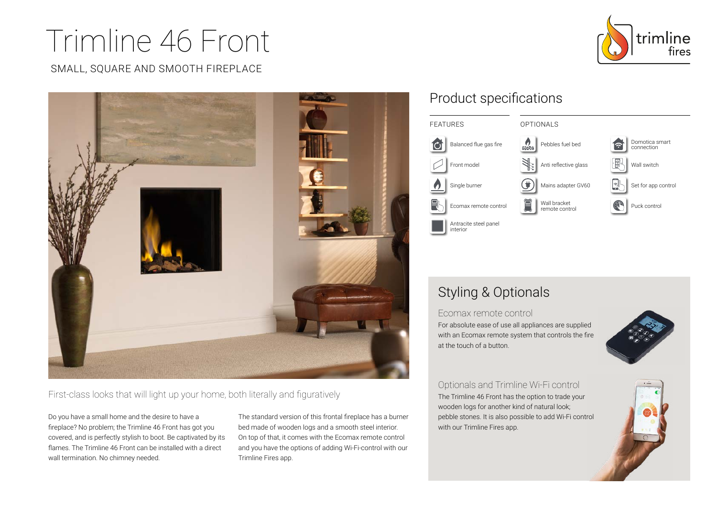# Trimline 46 Front

#### SMALL, SQUARE AND SMOOTH FIREPLACE





First-class looks that will light up your home, both literally and figuratively

Do you have a small home and the desire to have a fireplace? No problem; the Trimline 46 Front has got you covered, and is perfectly stylish to boot. Be captivated by its flames. The Trimline 46 Front can be installed with a direct wall termination. No chimney needed.

The standard version of this frontal fireplace has a burner bed made of wooden logs and a smooth steel interior. On top of that, it comes with the Ecomax remote control and you have the options of adding Wi-Fi-control with our Trimline Fires app.

## Product specifications



## Styling & Optionals

Ecomax remote control

For absolute ease of use all appliances are supplied with an Ecomax remote system that controls the fire at the touch of a button.



Optionals and Trimline Wi-Fi control The Trimline 46 Front has the option to trade your wooden logs for another kind of natural look; pebble stones. It is also possible to add Wi-Fi control with our Trimline Fires app.